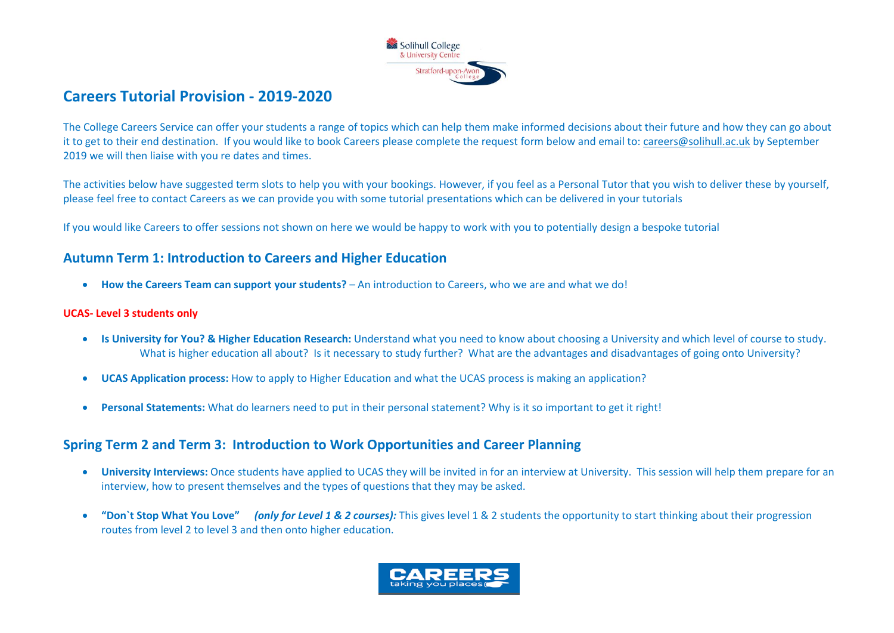

# **Careers Tutorial Provision - 2019-2020**

The College Careers Service can offer your students a range of topics which can help them make informed decisions about their future and how they can go about it to get to their end destination. If you would like to book Careers please complete the request form below and email to[: careers@solihull.ac.uk](mailto:careers@solihull.ac.uk) by September 2019 we will then liaise with you re dates and times.

The activities below have suggested term slots to help you with your bookings. However, if you feel as a Personal Tutor that you wish to deliver these by yourself, please feel free to contact Careers as we can provide you with some tutorial presentations which can be delivered in your tutorials

If you would like Careers to offer sessions not shown on here we would be happy to work with you to potentially design a bespoke tutorial

### **Autumn Term 1: Introduction to Careers and Higher Education**

**How the Careers Team can support your students?** – An introduction to Careers, who we are and what we do!

#### **UCAS- Level 3 students only**

- **Is University for You? & Higher Education Research:** Understand what you need to know about choosing a University and which level of course to study. What is higher education all about? Is it necessary to study further? What are the advantages and disadvantages of going onto University?
- **UCAS Application process:** How to apply to Higher Education and what the UCAS process is making an application?
- **Personal Statements:** What do learners need to put in their personal statement? Why is it so important to get it right!

## **Spring Term 2 and Term 3: Introduction to Work Opportunities and Career Planning**

- **University Interviews:** Once students have applied to UCAS they will be invited in for an interview at University. This session will help them prepare for an interview, how to present themselves and the types of questions that they may be asked.
- **"Don`t Stop What You Love"** *(only for Level 1 & 2 courses):* This gives level 1 & 2 students the opportunity to start thinking about their progression routes from level 2 to level 3 and then onto higher education.

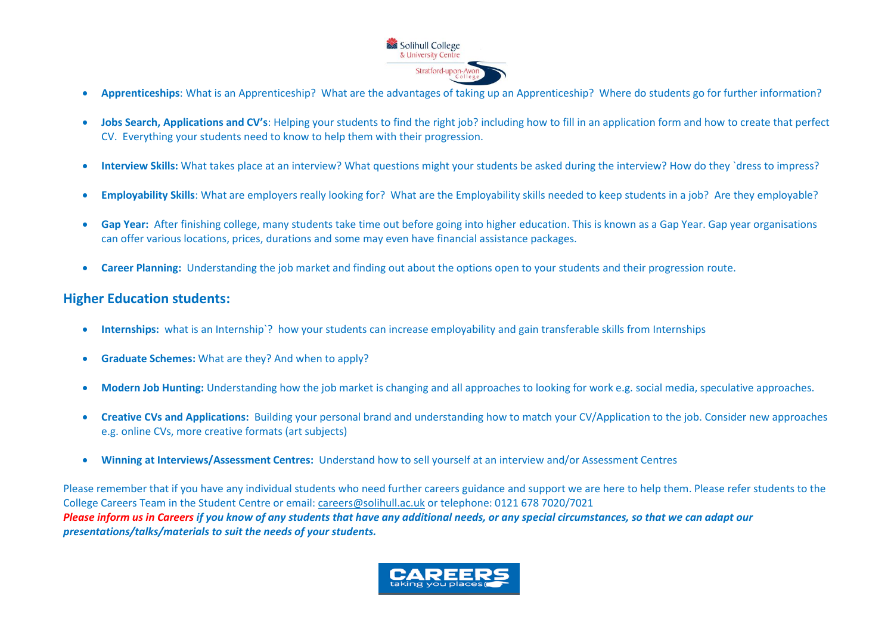

- **Apprenticeships**: What is an Apprenticeship? What are the advantages of taking up an Apprenticeship? Where do students go for further information?
- **Jobs Search, Applications and CV's**: Helping your students to find the right job? including how to fill in an application form and how to create that perfect CV. Everything your students need to know to help them with their progression.
- **Interview Skills:** What takes place at an interview? What questions might your students be asked during the interview? How do they `dress to impress?
- **Employability Skills**: What are employers really looking for? What are the Employability skills needed to keep students in a job? Are they employable?
- **Gap Year:** After finishing college, many students take time out before going into higher education. This is known as a Gap Year. Gap year organisations can offer various locations, prices, durations and some may even have financial assistance packages.
- **Career Planning:** Understanding the job market and finding out about the options open to your students and their progression route.

### **Higher Education students:**

- **Internships:** what is an Internship`? how your students can increase employability and gain transferable skills from Internships
- **Graduate Schemes:** What are they? And when to apply?
- **Modern Job Hunting:** Understanding how the job market is changing and all approaches to looking for work e.g. social media, speculative approaches.
- **Creative CVs and Applications:** Building your personal brand and understanding how to match your CV/Application to the job. Consider new approaches e.g. online CVs, more creative formats (art subjects)
- **Winning at Interviews/Assessment Centres:** Understand how to sell yourself at an interview and/or Assessment Centres

Please remember that if you have any individual students who need further careers guidance and support we are here to help them. Please refer students to the College Careers Team in the Student Centre or email[: careers@solihull.ac.uk](mailto:careers@solihull.ac.uk) or telephone: 0121 678 7020/7021 *Please inform us in Careers if you know of any students that have any additional needs, or any special circumstances, so that we can adapt our presentations/talks/materials to suit the needs of your students.*